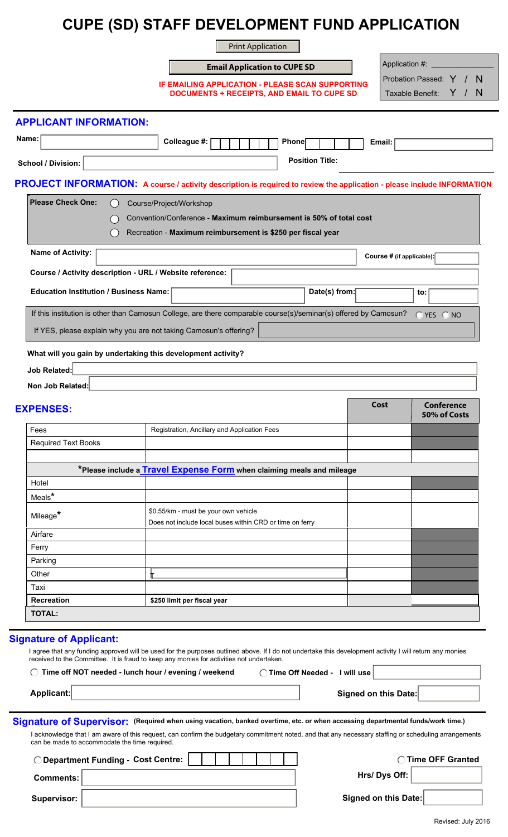# **CUPE (SD) STAFF DEVELOPMENT FUND APPLICATION**

Print Application

|                               | <b>Email Application to CUPE SD</b>                                                                                     |                                                                                                                                   |                      | Application #:         |  |                                         |                   |  |                   |
|-------------------------------|-------------------------------------------------------------------------------------------------------------------------|-----------------------------------------------------------------------------------------------------------------------------------|----------------------|------------------------|--|-----------------------------------------|-------------------|--|-------------------|
|                               |                                                                                                                         | <b>IF EMAILING APPLICATION - PLEASE SCAN SUPPORTING</b><br><b>DOCUMENTS + RECEIPTS, AND EMAIL TO CUPE SD</b>                      |                      |                        |  | Probation Passed: Y<br>Taxable Benefit: |                   |  | <sub>N</sub><br>N |
| <b>APPLICANT INFORMATION:</b> |                                                                                                                         |                                                                                                                                   |                      |                        |  |                                         |                   |  |                   |
| Name:                         |                                                                                                                         | Colleague #:                                                                                                                      | <b>Phone</b>         |                        |  | Email:                                  |                   |  |                   |
| <b>School / Division:</b>     |                                                                                                                         |                                                                                                                                   | $\blacktriangledown$ | <b>Position Title:</b> |  |                                         |                   |  |                   |
|                               | PROJECT INFORMATION: A course / activity description is required to review the application - please include INFORMATION |                                                                                                                                   |                      |                        |  |                                         |                   |  |                   |
| <b>Please Check One:</b>      | Course/Project/Workshop                                                                                                 | Convention/Conference - Maximum reimbursement is 50% of total cost<br>Recreation - Maximum reimbursement is \$250 per fiscal year |                      |                        |  |                                         |                   |  |                   |
| <b>Name of Activity:</b>      |                                                                                                                         |                                                                                                                                   |                      |                        |  | Course # (if applicable):               |                   |  |                   |
|                               | Course / Activity description - URL / Website reference:                                                                |                                                                                                                                   |                      |                        |  |                                         |                   |  |                   |
|                               | <b>Education Institution / Business Name:</b>                                                                           |                                                                                                                                   |                      | Date(s) from:          |  | to:                                     |                   |  |                   |
|                               | If this institution is other than Camosun College, are there comparable course(s)/seminar(s) offered by Camosun?        |                                                                                                                                   |                      |                        |  |                                         | $OYES$ $ONO$      |  |                   |
|                               | If YES, please explain why you are not taking Camosun's offering?                                                       |                                                                                                                                   |                      |                        |  |                                         |                   |  |                   |
|                               | What will you gain by undertaking this development activity?                                                            |                                                                                                                                   |                      |                        |  |                                         |                   |  |                   |
| Job Related:                  |                                                                                                                         |                                                                                                                                   |                      |                        |  |                                         |                   |  |                   |
| Non Job Related:              |                                                                                                                         |                                                                                                                                   |                      |                        |  |                                         |                   |  |                   |
| EYDENGEG.                     |                                                                                                                         |                                                                                                                                   |                      |                        |  | Cost                                    | <b>Conference</b> |  |                   |

### **EXPENSES:**

|                            |                                                                       | 50% of Costs |
|----------------------------|-----------------------------------------------------------------------|--------------|
| Fees                       | Registration, Ancillary and Application Fees                          |              |
| <b>Required Text Books</b> |                                                                       |              |
|                            |                                                                       |              |
|                            | *Please include a Travel Expense Form when claiming meals and mileage |              |
| Hotel                      |                                                                       |              |
| Meals*                     |                                                                       |              |
| Mileage*                   | \$0.55/km - must be your own vehicle                                  |              |
|                            | Does not include local buses within CRD or time on ferry              |              |
| Airfare                    |                                                                       |              |
| Ferry                      |                                                                       |              |
| Parking                    |                                                                       |              |
| Other                      |                                                                       |              |
| Taxi                       |                                                                       |              |
| <b>Recreation</b>          | \$250 limit per fiscal year                                           |              |
| <b>TOTAL:</b>              |                                                                       |              |

### **Signature of Applicant:**

| I agree that any funding approved will be used for the purposes outlined above. If I do not undertake this development activity I will return any monies |                                    |                         |  |  |  |
|----------------------------------------------------------------------------------------------------------------------------------------------------------|------------------------------------|-------------------------|--|--|--|
| received to the Committee. It is fraud to keep any monies for activities not undertaken.                                                                 |                                    |                         |  |  |  |
| $\cap$ Time off NOT needed Lunch bour Lovening Lucekand                                                                                                  | $\bigcap$ Time $\bigcap$ if Needed | الممرز الاثرزر المستحدث |  |  |  |

| THIS ON NOT Reacy - RIIGH HOUL! EVENING! WEEKEND | $\frac{1}{1}$ iiiie Uii Neeueu - Twiii use |
|--------------------------------------------------|--------------------------------------------|
|                                                  |                                            |
| Applicant:                                       | <b>Signed on this Date:</b>                |

 ${\bf Signature~of~Supervised}$ : (Required when using vacation, banked overtime, etc. or when accessing departmental funds/work time.)

I acknowledge that I am aware of this request, can confirm the budgetary commitment noted, and that any necessary staffing or scheduling arrangements can be made to accommodate the time required.

|             | Department Funding - Cost Centre: |                      | <b>Time OFF Granted</b> |
|-------------|-----------------------------------|----------------------|-------------------------|
| Comments:   |                                   | Hrs/ Dys Off: $ $    |                         |
| Supervisor: |                                   | Signed on this Date: |                         |

 $\overline{\phantom{a}}$